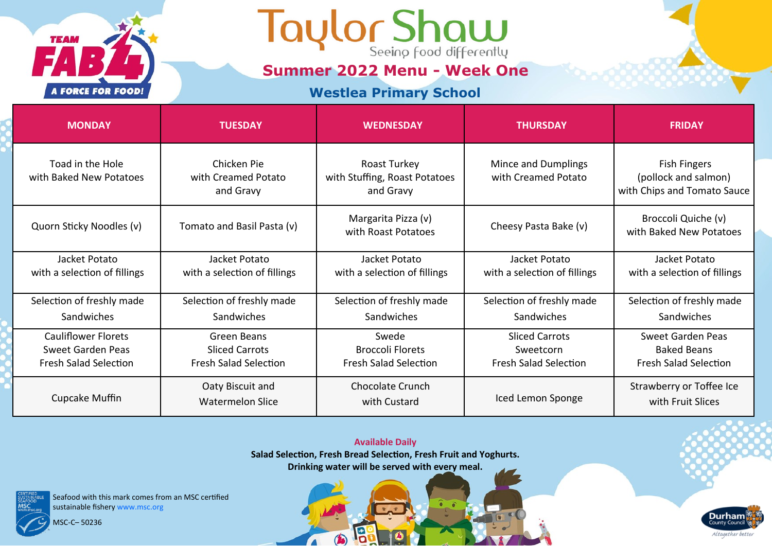

**Summer 2022 Menu - Week One**

#### **Westlea Primary School**

| <b>MONDAY</b>                                                                   | <b>TUESDAY</b>                                                       | <b>WEDNESDAY</b>                                                 | <b>THURSDAY</b>                                                    | <b>FRIDAY</b>                                                              |
|---------------------------------------------------------------------------------|----------------------------------------------------------------------|------------------------------------------------------------------|--------------------------------------------------------------------|----------------------------------------------------------------------------|
| Toad in the Hole<br>with Baked New Potatoes                                     | Chicken Pie<br>with Creamed Potato<br>and Gravy                      | Roast Turkey<br>with Stuffing, Roast Potatoes<br>and Gravy       | Mince and Dumplings<br>with Creamed Potato                         | <b>Fish Fingers</b><br>(pollock and salmon)<br>with Chips and Tomato Sauce |
| Quorn Sticky Noodles (v)                                                        | Tomato and Basil Pasta (v)                                           | Margarita Pizza (v)<br>with Roast Potatoes                       | Cheesy Pasta Bake (v)                                              | Broccoli Quiche (v)<br>with Baked New Potatoes                             |
| Jacket Potato<br>with a selection of fillings                                   | Jacket Potato<br>with a selection of fillings                        | Jacket Potato<br>with a selection of fillings                    | Jacket Potato<br>with a selection of fillings                      | Jacket Potato<br>with a selection of fillings                              |
| Selection of freshly made                                                       | Selection of freshly made                                            | Selection of freshly made                                        | Selection of freshly made                                          | Selection of freshly made                                                  |
| Sandwiches                                                                      | Sandwiches                                                           | Sandwiches                                                       | Sandwiches                                                         | Sandwiches                                                                 |
| Cauliflower Florets<br><b>Sweet Garden Peas</b><br><b>Fresh Salad Selection</b> | Green Beans<br><b>Sliced Carrots</b><br><b>Fresh Salad Selection</b> | Swede<br><b>Broccoli Florets</b><br><b>Fresh Salad Selection</b> | <b>Sliced Carrots</b><br>Sweetcorn<br><b>Fresh Salad Selection</b> | Sweet Garden Peas<br><b>Baked Beans</b><br><b>Fresh Salad Selection</b>    |
| Cupcake Muffin                                                                  | Oaty Biscuit and<br><b>Watermelon Slice</b>                          | <b>Chocolate Crunch</b><br>with Custard                          | Iced Lemon Sponge                                                  | Strawberry or Toffee Ice<br>with Fruit Slices                              |

**Available Daily Salad Selection, Fresh Bread Selection, Fresh Fruit and Yoghurts. Drinking water will be served with every meal.** 

19

 $\bigcirc$ 

 $\sqrt{2}$ 

**Durham** 

Altogether better

Seafood with this mark comes from an MSC certified sustainable fishery www.msc.org

MSC-C– 50236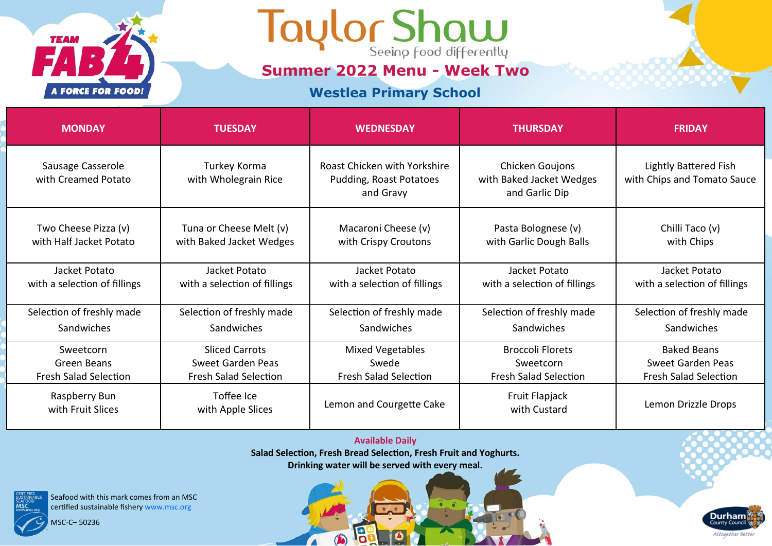

**Summer 2022 Menu - Week Two**

#### **Westlea Primary School**

| <b>MONDAY</b>                                   | <b>TUESDAY</b>                                      | <b>WEDNESDAY</b>                                                     | <b>THURSDAY</b>                                               | <b>FRIDAY</b>                                               |
|-------------------------------------------------|-----------------------------------------------------|----------------------------------------------------------------------|---------------------------------------------------------------|-------------------------------------------------------------|
| Sausage Casserole<br>with Creamed Potato        | Turkey Korma<br>with Wholegrain Rice                | Roast Chicken with Yorkshire<br>Pudding, Roast Potatoes<br>and Gravy | Chicken Goujons<br>with Baked Jacket Wedges<br>and Garlic Dip | <b>Lightly Battered Fish</b><br>with Chips and Tomato Sauce |
| Two Cheese Pizza (v)<br>with Half Jacket Potato | Tuna or Cheese Melt (v)<br>with Baked Jacket Wedges | Macaroni Cheese (v)<br>with Crispy Croutons                          | Pasta Bolognese (v)<br>with Garlic Dough Balls                | Chilli Taco (v)<br>with Chips                               |
| Jacket Potato<br>with a selection of fillings   | Jacket Potato<br>with a selection of fillings       | Jacket Potato<br>with a selection of fillings                        | Jacket Potato<br>with a selection of fillings                 | Jacket Potato<br>with a selection of fillings               |
| Selection of freshly made                       | Selection of freshly made                           | Selection of freshly made                                            | Selection of freshly made                                     | Selection of freshly made                                   |
| Sandwiches                                      | <b>Sandwiches</b>                                   | Sandwiches                                                           | Sandwiches                                                    | Sandwiches                                                  |
| Sweetcorn                                       | <b>Sliced Carrots</b>                               | Mixed Vegetables                                                     | <b>Broccoli Florets</b>                                       | <b>Baked Beans</b>                                          |
| Green Beans                                     | Sweet Garden Peas                                   | Swede                                                                | Sweetcorn                                                     | Sweet Garden Peas                                           |
| <b>Fresh Salad Selection</b>                    | <b>Fresh Salad Selection</b>                        | <b>Fresh Salad Selection</b>                                         | <b>Fresh Salad Selection</b>                                  | <b>Fresh Salad Selection</b>                                |
| Raspberry Bun<br>with Fruit Slices              | Toffee Ice<br>with Apple Slices                     | Lemon and Courgette Cake                                             | Fruit Flapjack<br>with Custard                                | Lemon Drizzle Drops                                         |

**Available Daily Salad Selection, Fresh Bread Selection, Fresh Fruit and Yoghurts. Drinking water will be served with every meal.** 

13

 $\bigcirc$ 

 $\sqrt{2}$ 

Seafood with this mark comes from an MSC certified sustainable fishery www.msc.org

MSC-C– 50236

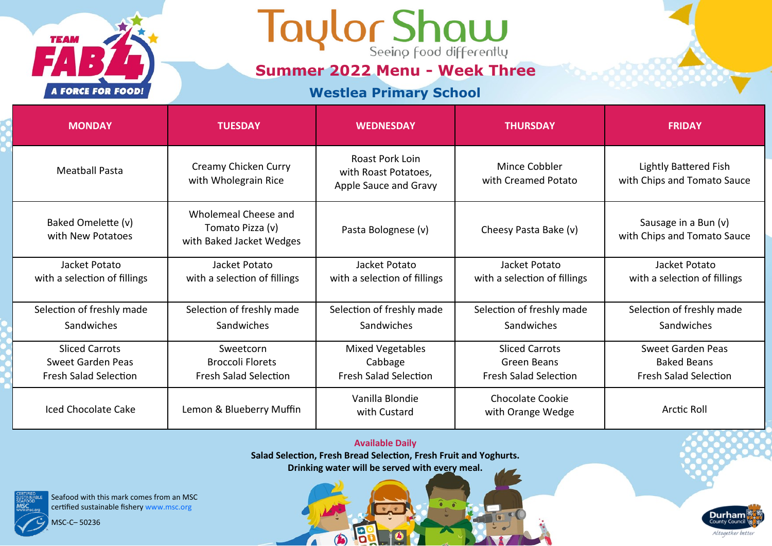

**Summer 2022 Menu - Week Three**

### **Westlea Primary School**

| <b>MONDAY</b>                                 | <b>TUESDAY</b>                                                       | <b>WEDNESDAY</b>                                                 | <b>THURSDAY</b>                               | <b>FRIDAY</b>                                        |
|-----------------------------------------------|----------------------------------------------------------------------|------------------------------------------------------------------|-----------------------------------------------|------------------------------------------------------|
| <b>Meatball Pasta</b>                         | Creamy Chicken Curry<br>with Wholegrain Rice                         | Roast Pork Loin<br>with Roast Potatoes,<br>Apple Sauce and Gravy | Mince Cobbler<br>with Creamed Potato          | Lightly Battered Fish<br>with Chips and Tomato Sauce |
| Baked Omelette (v)<br>with New Potatoes       | Wholemeal Cheese and<br>Tomato Pizza (v)<br>with Baked Jacket Wedges | Pasta Bolognese (v)                                              | Cheesy Pasta Bake (v)                         | Sausage in a Bun (v)<br>with Chips and Tomato Sauce  |
| Jacket Potato<br>with a selection of fillings | Jacket Potato<br>with a selection of fillings                        | Jacket Potato<br>with a selection of fillings                    | Jacket Potato<br>with a selection of fillings | Jacket Potato<br>with a selection of fillings        |
| Selection of freshly made                     | Selection of freshly made                                            | Selection of freshly made                                        | Selection of freshly made                     | Selection of freshly made                            |
| Sandwiches                                    | Sandwiches                                                           | Sandwiches                                                       | Sandwiches                                    | Sandwiches                                           |
| <b>Sliced Carrots</b>                         | Sweetcorn                                                            | <b>Mixed Vegetables</b>                                          | <b>Sliced Carrots</b>                         | Sweet Garden Peas                                    |
| Sweet Garden Peas                             | <b>Broccoli Florets</b>                                              | Cabbage                                                          | Green Beans                                   | <b>Baked Beans</b>                                   |
| <b>Fresh Salad Selection</b>                  | <b>Fresh Salad Selection</b>                                         | <b>Fresh Salad Selection</b>                                     | <b>Fresh Salad Selection</b>                  | <b>Fresh Salad Selection</b>                         |
| <b>Iced Chocolate Cake</b>                    | Lemon & Blueberry Muffin                                             | Vanilla Blondie<br>with Custard                                  | <b>Chocolate Cookie</b><br>with Orange Wedge  | <b>Arctic Roll</b>                                   |

#### **Available Daily**

**Salad Selection, Fresh Bread Selection, Fresh Fruit and Yoghurts.**

**Drinking water will be served with every meal.** 

19

 $\bigcirc$ 

 $\sqrt{2}$ 



Seafood with this mark comes from an MSC certified sustainable fishery www.msc.org

MSC-C– 50236